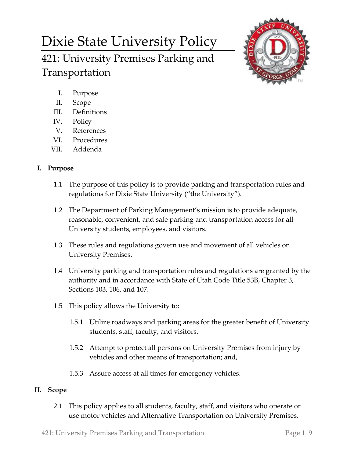# Dixie State University Policy 421: University Premises Parking and Transportation



- I. Purpose
- II. Scope
- III. Definitions
- IV. Policy
- V. References
- VI. Procedures
- VII. Addenda

# **I. Purpose**

- 1.1 The purpose of this policy is to provide parking and transportation rules and regulations for Dixie State University ("the University").
- 1.2 The Department of Parking Management's mission is to provide adequate, reasonable, convenient, and safe parking and transportation access for all University students, employees, and visitors.
- 1.3 These rules and regulations govern use and movement of all vehicles on University Premises.
- 1.4 University parking and transportation rules and regulations are granted by the authority and in accordance with State of Utah Code Title 53B, Chapter 3, Sections 103, 106, and 107.
- 1.5 This policy allows the University to:
	- 1.5.1 Utilize roadways and parking areas for the greater benefit of University students, staff, faculty, and visitors.
	- 1.5.2 Attempt to protect all persons on University Premises from injury by vehicles and other means of transportation; and,
	- 1.5.3 Assure access at all times for emergency vehicles.

## **II. Scope**

2.1 This policy applies to all students, faculty, staff, and visitors who operate or use motor vehicles and Alternative Transportation on University Premises,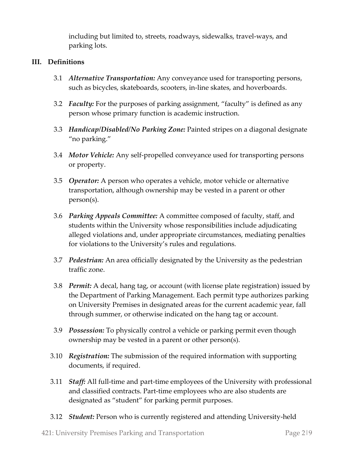including but limited to, streets, roadways, sidewalks, travel-ways, and parking lots.

## **III. Definitions**

- 3.1 *Alternative Transportation:* Any conveyance used for transporting persons, such as bicycles, skateboards, scooters, in-line skates, and hoverboards.
- 3.2 *Faculty:* For the purposes of parking assignment, "faculty" is defined as any person whose primary function is academic instruction.
- 3.3 *Handicap/Disabled/No Parking Zone:* Painted stripes on a diagonal designate "no parking."
- 3.4 *Motor Vehicle:* Any self-propelled conveyance used for transporting persons or property.
- 3.5 *Operator:* A person who operates a vehicle, motor vehicle or alternative transportation, although ownership may be vested in a parent or other person(s).
- 3.6 *Parking Appeals Committee:* A committee composed of faculty, staff, and students within the University whose responsibilities include adjudicating alleged violations and, under appropriate circumstances, mediating penalties for violations to the University's rules and regulations.
- 3.7 *Pedestrian:* An area officially designated by the University as the pedestrian traffic zone.
- 3.8 *Permit:* A decal, hang tag, or account (with license plate registration) issued by the Department of Parking Management. Each permit type authorizes parking on University Premises in designated areas for the current academic year, fall through summer, or otherwise indicated on the hang tag or account.
- 3.9 *Possession:* To physically control a vehicle or parking permit even though ownership may be vested in a parent or other person(s).
- 3.10 *Registration:* The submission of the required information with supporting documents, if required.
- 3.11 *Staff:* All full-time and part-time employees of the University with professional and classified contracts. Part-time employees who are also students are designated as "student" for parking permit purposes.
- 3.12 *Student:* Person who is currently registered and attending University-held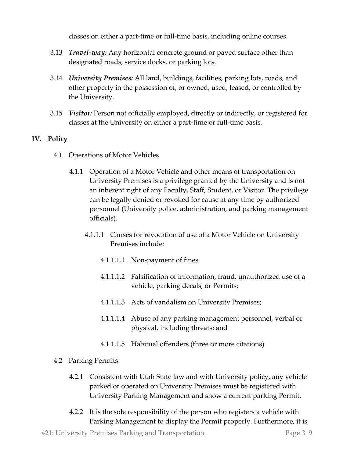classes on either a part-time or full-time basis, including online courses.

- 3.13 *Travel-way:* Any horizontal concrete ground or paved surface other than designated roads, service docks, or parking lots.
- 3.14 *University Premises:* All land, buildings, facilities, parking lots, roads, and other property in the possession of, or owned, used, leased, or controlled by the University.
- 3.15 *Visitor:* Person not officially employed, directly or indirectly, or registered for classes at the University on either a part-time or full-time basis.

## **IV. Policy**

- 4.1 Operations of Motor Vehicles
	- 4.1.1 Operation of a Motor Vehicle and other means of transportation on University Premises is a privilege granted by the University and is not an inherent right of any Faculty, Staff, Student, or Visitor. The privilege can be legally denied or revoked for cause at any time by authorized personnel (University police, administration, and parking management officials).
		- 4.1.1.1 Causes for revocation of use of a Motor Vehicle on University Premises include:
			- 4.1.1.1.1 Non-payment of fines
			- 4.1.1.1.2 Falsification of information, fraud, unauthorized use of a vehicle, parking decals, or Permits;
			- 4.1.1.1.3 Acts of vandalism on University Premises;
			- 4.1.1.1.4 Abuse of any parking management personnel, verbal or physical, including threats; and
			- 4.1.1.1.5 Habitual offenders (three or more citations)

## 4.2 Parking Permits

- 4.2.1 Consistent with Utah State law and with University policy, any vehicle parked or operated on University Premises must be registered with University Parking Management and show a current parking Permit.
- 4.2.2 It is the sole responsibility of the person who registers a vehicle with Parking Management to display the Permit properly. Furthermore, it is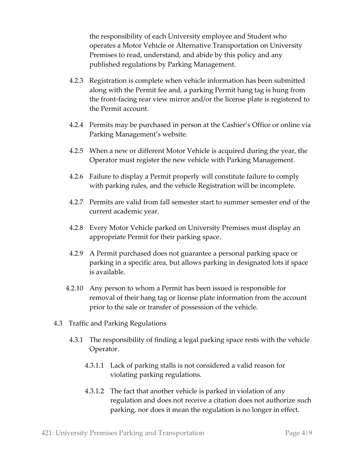the responsibility of each University employee and Student who operates a Motor Vehicle or Alternative Transportation on University Premises to read, understand, and abide by this policy and any published regulations by Parking Management.

- 4.2.3 Registration is complete when vehicle information has been submitted along with the Permit fee and, a parking Permit hang tag is hung from the front-facing rear view mirror and/or the license plate is registered to the Permit account.
- 4.2.4 Permits may be purchased in person at the Cashier's Office or online via Parking Management's website.
- 4.2.5 When a new or different Motor Vehicle is acquired during the year, the Operator must register the new vehicle with Parking Management.
- 4.2.6 Failure to display a Permit properly will constitute failure to comply with parking rules, and the vehicle Registration will be incomplete.
- 4.2.7 Permits are valid from fall semester start to summer semester end of the current academic year.
- 4.2.8 Every Motor Vehicle parked on University Premises must display an appropriate Permit for their parking space.
- 4.2.9 A Permit purchased does not guarantee a personal parking space or parking in a specific area, but allows parking in designated lots if space is available.
- 4.2.10 Any person to whom a Permit has been issued is responsible for removal of their hang tag or license plate information from the account prior to the sale or transfer of possession of the vehicle.
- 4.3 Traffic and Parking Regulations
	- 4.3.1 The responsibility of finding a legal parking space rests with the vehicle Operator.
		- 4.3.1.1 Lack of parking stalls is not considered a valid reason for violating parking regulations.
		- 4.3.1.2 The fact that another vehicle is parked in violation of any regulation and does not receive a citation does not authorize such parking, nor does it mean the regulation is no longer in effect.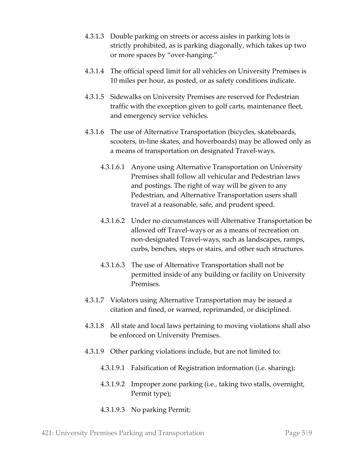- 4.3.1.3 Double parking on streets or access aisles in parking lots is strictly prohibited, as is parking diagonally, which takes up two or more spaces by "over-hanging."
- 4.3.1.4 The official speed limit for all vehicles on University Premises is 10 miles per hour, as posted, or as safety conditions indicate.
- 4.3.1.5 Sidewalks on University Premises are reserved for Pedestrian traffic with the exception given to golf carts, maintenance fleet, and emergency service vehicles.
- 4.3.1.6 The use of Alternative Transportation (bicycles, skateboards, scooters, in-line skates, and hoverboards) may be allowed only as a means of transportation on designated Travel-ways.
	- 4.3.1.6.1 Anyone using Alternative Transportation on University Premises shall follow all vehicular and Pedestrian laws and postings. The right of way will be given to any Pedestrian, and Alternative Transportation users shall travel at a reasonable, safe, and prudent speed.
	- 4.3.1.6.2 Under no circumstances will Alternative Transportation be allowed off Travel-ways or as a means of recreation on non-designated Travel-ways, such as landscapes, ramps, curbs, benches, steps or stairs, and other such structures.
	- 4.3.1.6.3 The use of Alternative Transportation shall not be permitted inside of any building or facility on University Premises.
- 4.3.1.7 Violators using Alternative Transportation may be issued a citation and fined, or warned, reprimanded, or disciplined.
- 4.3.1.8 All state and local laws pertaining to moving violations shall also be enforced on University Premises.
- 4.3.1.9 Other parking violations include, but are not limited to:
	- 4.3.1.9.1 Falsification of Registration information (i.e. sharing);
	- 4.3.1.9.2 Improper zone parking (i.e., taking two stalls, overnight, Permit type);
	- 4.3.1.9.3 No parking Permit;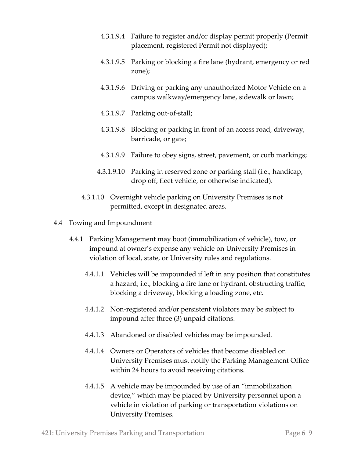- 4.3.1.9.4 Failure to register and/or display permit properly (Permit placement, registered Permit not displayed);
- 4.3.1.9.5 Parking or blocking a fire lane (hydrant, emergency or red zone);
- 4.3.1.9.6 Driving or parking any unauthorized Motor Vehicle on a campus walkway/emergency lane, sidewalk or lawn;
- 4.3.1.9.7 Parking out-of-stall;
- 4.3.1.9.8 Blocking or parking in front of an access road, driveway, barricade, or gate;
- 4.3.1.9.9 Failure to obey signs, street, pavement, or curb markings;
- 4.3.1.9.10 Parking in reserved zone or parking stall (i.e., handicap, drop off, fleet vehicle, or otherwise indicated).
- 4.3.1.10 Overnight vehicle parking on University Premises is not permitted, except in designated areas.
- 4.4 Towing and Impoundment
	- 4.4.1 Parking Management may boot (immobilization of vehicle), tow, or impound at owner's expense any vehicle on University Premises in violation of local, state, or University rules and regulations.
		- 4.4.1.1 Vehicles will be impounded if left in any position that constitutes a hazard; i.e., blocking a fire lane or hydrant, obstructing traffic, blocking a driveway, blocking a loading zone, etc.
		- 4.4.1.2 Non-registered and/or persistent violators may be subject to impound after three (3) unpaid citations.
		- 4.4.1.3 Abandoned or disabled vehicles may be impounded.
		- 4.4.1.4 Owners or Operators of vehicles that become disabled on University Premises must notify the Parking Management Office within 24 hours to avoid receiving citations.
		- 4.4.1.5 A vehicle may be impounded by use of an "immobilization device," which may be placed by University personnel upon a vehicle in violation of parking or transportation violations on University Premises.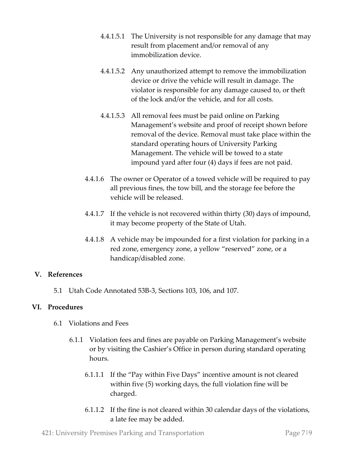- 4.4.1.5.1 The University is not responsible for any damage that may result from placement and/or removal of any immobilization device.
- 4.4.1.5.2 Any unauthorized attempt to remove the immobilization device or drive the vehicle will result in damage. The violator is responsible for any damage caused to, or theft of the lock and/or the vehicle, and for all costs.
- 4.4.1.5.3 All removal fees must be paid online on Parking Management's website and proof of receipt shown before removal of the device. Removal must take place within the standard operating hours of University Parking Management. The vehicle will be towed to a state impound yard after four (4) days if fees are not paid.
- 4.4.1.6 The owner or Operator of a towed vehicle will be required to pay all previous fines, the tow bill, and the storage fee before the vehicle will be released.
- 4.4.1.7 If the vehicle is not recovered within thirty (30) days of impound, it may become property of the State of Utah.
- 4.4.1.8 A vehicle may be impounded for a first violation for parking in a red zone, emergency zone, a yellow "reserved" zone, or a handicap/disabled zone.

## **V. References**

5.1 Utah Code Annotated 53B-3, Sections 103, 106, and 107.

#### **VI. Procedures**

- 6.1 Violations and Fees
	- 6.1.1 Violation fees and fines are payable on Parking Management's website or by visiting the Cashier's Office in person during standard operating hours.
		- 6.1.1.1 If the "Pay within Five Days" incentive amount is not cleared within five (5) working days, the full violation fine will be charged.
		- 6.1.1.2 If the fine is not cleared within 30 calendar days of the violations, a late fee may be added.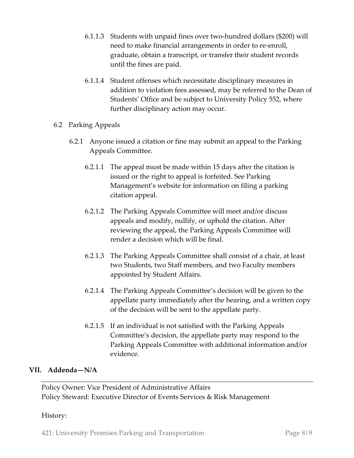- 6.1.1.3 Students with unpaid fines over two-hundred dollars (\$200) will need to make financial arrangements in order to re-enroll, graduate, obtain a transcript, or transfer their student records until the fines are paid.
- 6.1.1.4 Student offenses which necessitate disciplinary measures in addition to violation fees assessed, may be referred to the Dean of Students' Office and be subject to University Policy 552, where further disciplinary action may occur.
- 6.2 Parking Appeals
	- 6.2.1 Anyone issued a citation or fine may submit an appeal to the Parking Appeals Committee.
		- 6.2.1.1 The appeal must be made within 15 days after the citation is issued or the right to appeal is forfeited. See Parking Management's website for information on filing a parking citation appeal.
		- 6.2.1.2 The Parking Appeals Committee will meet and/or discuss appeals and modify, nullify, or uphold the citation. After reviewing the appeal, the Parking Appeals Committee will render a decision which will be final.
		- 6.2.1.3 The Parking Appeals Committee shall consist of a chair, at least two Students, two Staff members, and two Faculty members appointed by Student Affairs.
		- 6.2.1.4 The Parking Appeals Committee's decision will be given to the appellate party immediately after the hearing, and a written copy of the decision will be sent to the appellate party.
		- 6.2.1.5 If an individual is not satisfied with the Parking Appeals Committee's decision, the appellate party may respond to the Parking Appeals Committee with additional information and/or evidence.

## **VII. Addenda—N/A**

Policy Owner: Vice President of Administrative Affairs Policy Steward: Executive Director of Events Services & Risk Management

#### History:

421: University Premises Parking and Transportation Page 8|9